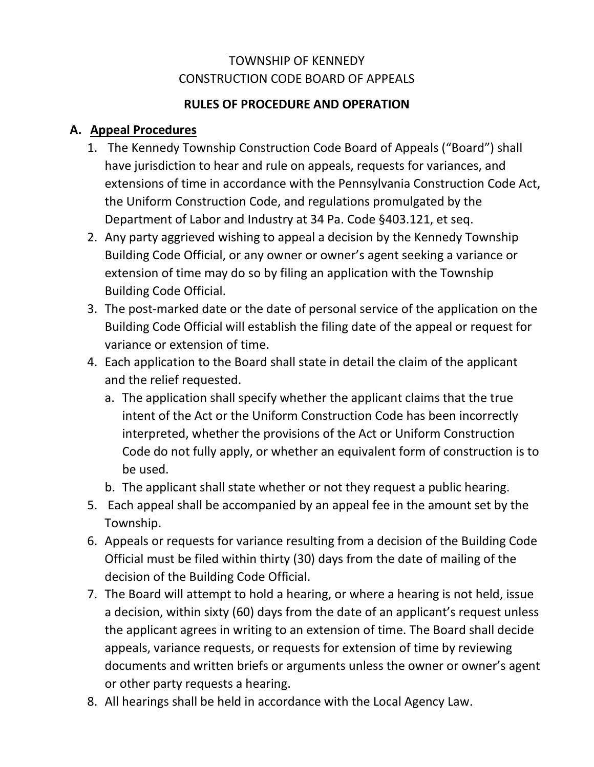## TOWNSHIP OF KENNEDY CONSTRUCTION CODE BOARD OF APPEALS

## **RULES OF PROCEDURE AND OPERATION**

# **A. Appeal Procedures**

- 1. The Kennedy Township Construction Code Board of Appeals ("Board") shall have jurisdiction to hear and rule on appeals, requests for variances, and extensions of time in accordance with the Pennsylvania Construction Code Act, the Uniform Construction Code, and regulations promulgated by the Department of Labor and Industry at 34 Pa. Code §403.121, et seq.
- 2. Any party aggrieved wishing to appeal a decision by the Kennedy Township Building Code Official, or any owner or owner's agent seeking a variance or extension of time may do so by filing an application with the Township Building Code Official.
- 3. The post-marked date or the date of personal service of the application on the Building Code Official will establish the filing date of the appeal or request for variance or extension of time.
- 4. Each application to the Board shall state in detail the claim of the applicant and the relief requested.
	- a. The application shall specify whether the applicant claims that the true intent of the Act or the Uniform Construction Code has been incorrectly interpreted, whether the provisions of the Act or Uniform Construction Code do not fully apply, or whether an equivalent form of construction is to be used.
	- b. The applicant shall state whether or not they request a public hearing.
- 5. Each appeal shall be accompanied by an appeal fee in the amount set by the Township.
- 6. Appeals or requests for variance resulting from a decision of the Building Code Official must be filed within thirty (30) days from the date of mailing of the decision of the Building Code Official.
- 7. The Board will attempt to hold a hearing, or where a hearing is not held, issue a decision, within sixty (60) days from the date of an applicant's request unless the applicant agrees in writing to an extension of time. The Board shall decide appeals, variance requests, or requests for extension of time by reviewing documents and written briefs or arguments unless the owner or owner's agent or other party requests a hearing.
- 8. All hearings shall be held in accordance with the Local Agency Law.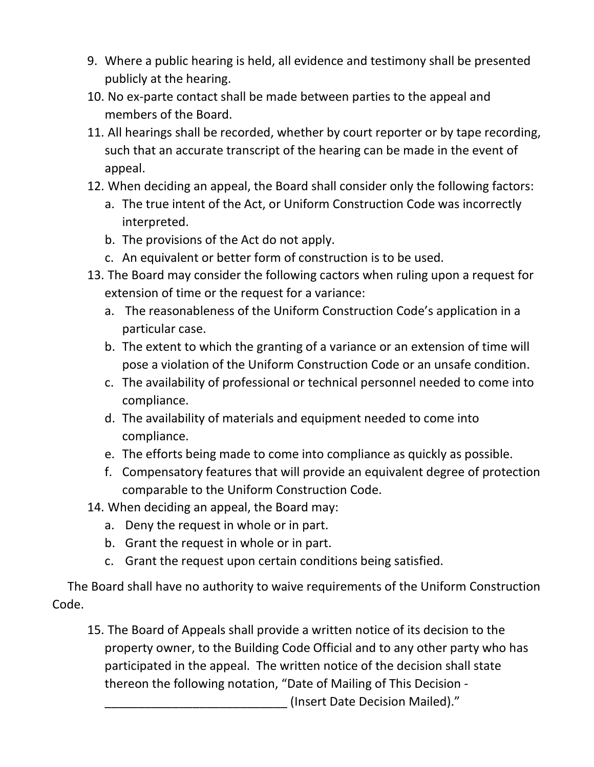- 9. Where a public hearing is held, all evidence and testimony shall be presented publicly at the hearing.
- 10. No ex-parte contact shall be made between parties to the appeal and members of the Board.
- 11. All hearings shall be recorded, whether by court reporter or by tape recording, such that an accurate transcript of the hearing can be made in the event of appeal.
- 12. When deciding an appeal, the Board shall consider only the following factors:
	- a. The true intent of the Act, or Uniform Construction Code was incorrectly interpreted.
	- b. The provisions of the Act do not apply.
	- c. An equivalent or better form of construction is to be used.
- 13. The Board may consider the following cactors when ruling upon a request for extension of time or the request for a variance:
	- a. The reasonableness of the Uniform Construction Code's application in a particular case.
	- b. The extent to which the granting of a variance or an extension of time will pose a violation of the Uniform Construction Code or an unsafe condition.
	- c. The availability of professional or technical personnel needed to come into compliance.
	- d. The availability of materials and equipment needed to come into compliance.
	- e. The efforts being made to come into compliance as quickly as possible.
	- f. Compensatory features that will provide an equivalent degree of protection comparable to the Uniform Construction Code.
- 14. When deciding an appeal, the Board may:
	- a. Deny the request in whole or in part.
	- b. Grant the request in whole or in part.
	- c. Grant the request upon certain conditions being satisfied.

 The Board shall have no authority to waive requirements of the Uniform Construction Code.

15. The Board of Appeals shall provide a written notice of its decision to the property owner, to the Building Code Official and to any other party who has participated in the appeal. The written notice of the decision shall state thereon the following notation, "Date of Mailing of This Decision -

\_\_\_\_\_\_\_\_\_\_\_\_\_\_\_\_\_\_\_\_\_\_\_\_\_\_\_ (Insert Date Decision Mailed)."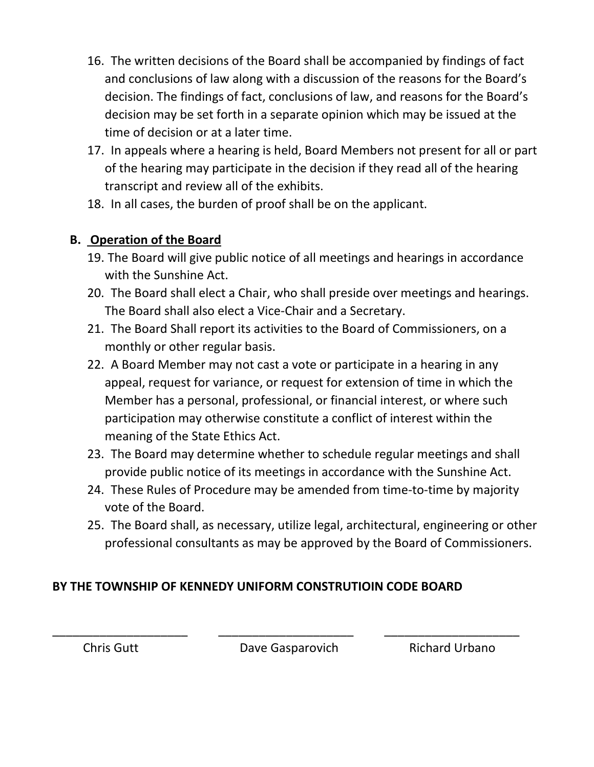- 16. The written decisions of the Board shall be accompanied by findings of fact and conclusions of law along with a discussion of the reasons for the Board's decision. The findings of fact, conclusions of law, and reasons for the Board's decision may be set forth in a separate opinion which may be issued at the time of decision or at a later time.
- 17. In appeals where a hearing is held, Board Members not present for all or part of the hearing may participate in the decision if they read all of the hearing transcript and review all of the exhibits.
- 18. In all cases, the burden of proof shall be on the applicant.

# **B. Operation of the Board**

- 19. The Board will give public notice of all meetings and hearings in accordance with the Sunshine Act.
- 20. The Board shall elect a Chair, who shall preside over meetings and hearings. The Board shall also elect a Vice-Chair and a Secretary.
- 21. The Board Shall report its activities to the Board of Commissioners, on a monthly or other regular basis.
- 22. A Board Member may not cast a vote or participate in a hearing in any appeal, request for variance, or request for extension of time in which the Member has a personal, professional, or financial interest, or where such participation may otherwise constitute a conflict of interest within the meaning of the State Ethics Act.
- 23. The Board may determine whether to schedule regular meetings and shall provide public notice of its meetings in accordance with the Sunshine Act.
- 24. These Rules of Procedure may be amended from time-to-time by majority vote of the Board.
- 25. The Board shall, as necessary, utilize legal, architectural, engineering or other professional consultants as may be approved by the Board of Commissioners.

# **BY THE TOWNSHIP OF KENNEDY UNIFORM CONSTRUTIOIN CODE BOARD**

Chris Gutt Dave Gasparovich Richard Urbano

\_\_\_\_\_\_\_\_\_\_\_\_\_\_\_\_\_\_\_\_ \_\_\_\_\_\_\_\_\_\_\_\_\_\_\_\_\_\_\_\_ \_\_\_\_\_\_\_\_\_\_\_\_\_\_\_\_\_\_\_\_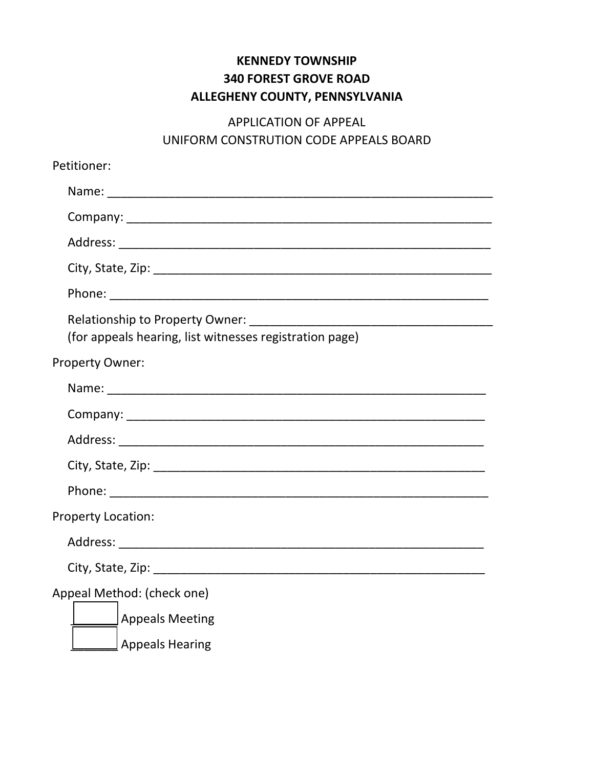# **KENNEDY TOWNSHIP 340 FOREST GROVE ROAD ALLEGHENY COUNTY, PENNSYLVANIA**

# APPLICATION OF APPEAL UNIFORM CONSTRUTION CODE APPEALS BOARD

| Petitioner:                                                                                        |
|----------------------------------------------------------------------------------------------------|
|                                                                                                    |
|                                                                                                    |
|                                                                                                    |
|                                                                                                    |
|                                                                                                    |
| (for appeals hearing, list witnesses registration page)                                            |
| <b>Property Owner:</b>                                                                             |
|                                                                                                    |
|                                                                                                    |
|                                                                                                    |
|                                                                                                    |
|                                                                                                    |
| <b>Property Location:</b>                                                                          |
|                                                                                                    |
| City, State, Zip: National City, State, Zip: National City, State, Zip: National City, State, 2014 |
| Appeal Method: (check one)                                                                         |
| <b>Appeals Meeting</b>                                                                             |
| <b>Appeals Hearing</b>                                                                             |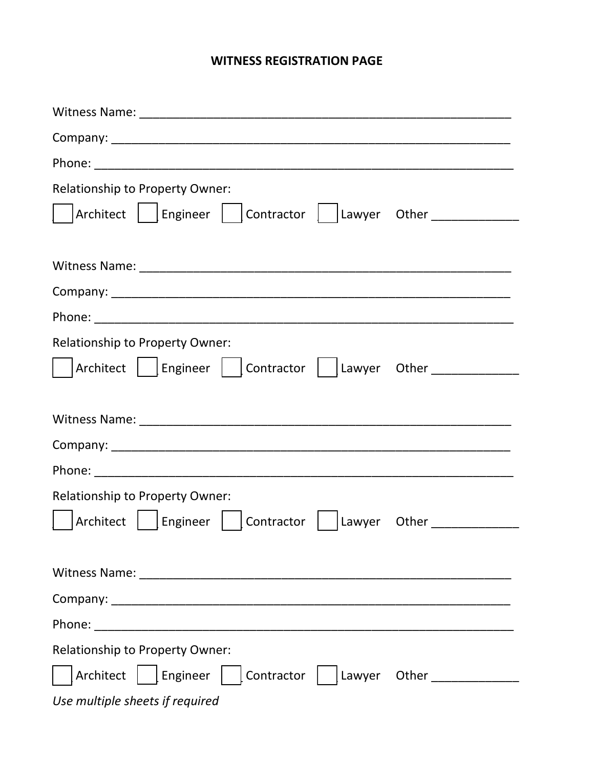## **WITNESS REGISTRATION PAGE**

| <b>Relationship to Property Owner:</b>                                           |
|----------------------------------------------------------------------------------|
| Architect     Engineer     Contractor     Lawyer Other                           |
|                                                                                  |
|                                                                                  |
|                                                                                  |
|                                                                                  |
| Relationship to Property Owner:                                                  |
| Architect     Engineer     Contractor     Lawyer Other _________________________ |
|                                                                                  |
|                                                                                  |
|                                                                                  |
|                                                                                  |
| Relationship to Property Owner:                                                  |
| Architect   Engineer<br>Contractor     Lawyer Other ______________               |
|                                                                                  |
|                                                                                  |
|                                                                                  |
|                                                                                  |
| <b>Relationship to Property Owner:</b>                                           |
| Architect     Engineer     Contractor     Lawyer Other _______________           |
| Use multiple sheets if required                                                  |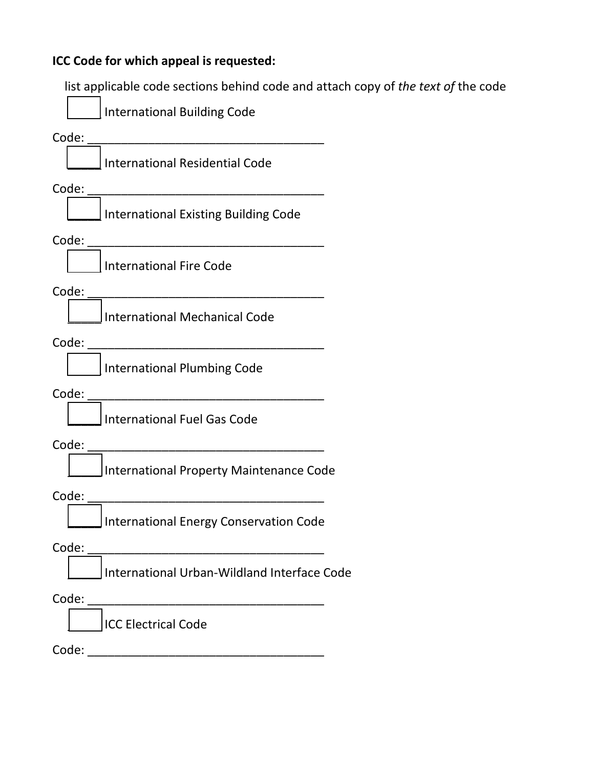#### **ICC Code for which appeal is requested:**

list applicable code sections behind code and attach copy of *the text of* the code



Code: \_\_\_\_\_\_\_\_\_\_\_\_\_\_\_\_\_\_\_\_\_\_\_\_\_\_\_\_\_\_\_\_\_\_\_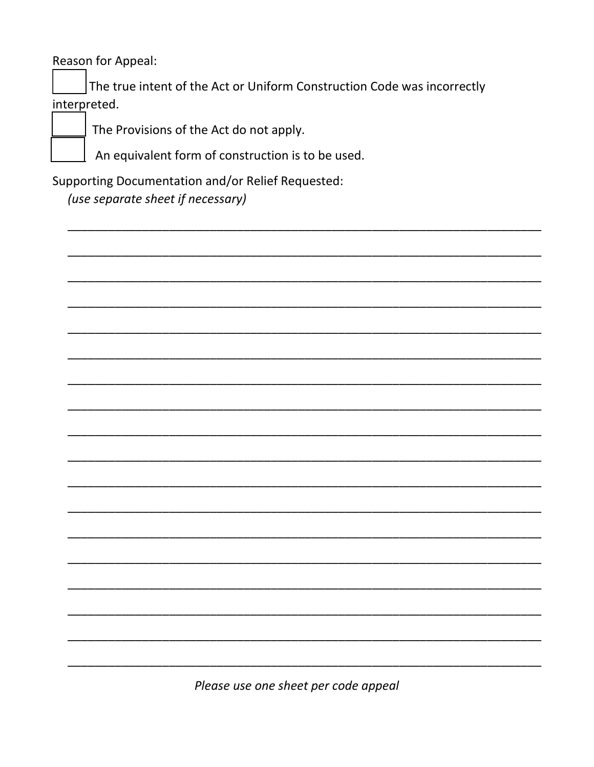Reason for Appeal:

The true intent of the Act or Uniform Construction Code was incorrectly interpreted.

The Provisions of the Act do not apply.

An equivalent form of construction is to be used.

**Supporting Documentation and/or Relief Requested:** 

(use separate sheet if necessary)

Please use one sheet per code appeal